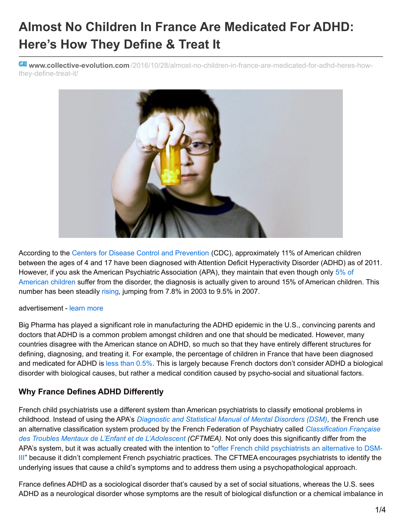# **Almost No Children In France Are Medicated For ADHD: Here's How They Define & Treat It**

**www.collective-evolution.com** [/2016/10/28/almost-no-children-in-france-are-medicated-for-adhd-heres-how](http://www.collective-evolution.com/2016/10/28/almost-no-children-in-france-are-medicated-for-adhd-heres-how-they-define-treat-it/)they-define-treat-it/



According to the Centers for Disease Control and [Prevention](http://www.cdc.gov/ncbddd/adhd/data.html) (CDC), approximately 11% of American children between the ages of 4 and 17 have been diagnosed with Attention Deficit Hyperactivity Disorder (ADHD) as of 2011. However, if you ask the American Psychiatric [Association](https://www.scientificamerican.com/article/big-pharma-s-manufactured-epidemic-the-misdiagnosis-of-adhd/) (APA), they maintain that even though only 5% of American children suffer from the disorder, the diagnosis is actually given to around 15% of American children. This number has been steadily [rising](http://www.collective-evolution.com/2014/11/25/the-creative-gifts-of-adhd-disorder-or-gift-real-or-fictitious/), jumping from 7.8% in 2003 to 9.5% in 2007.

#### advertisement - [learn](http://www.collective-evolution.com/our-ad-commitment/) more

Big Pharma has played a significant role in manufacturing the ADHD epidemic in the U.S., convincing parents and doctors that ADHD is a common problem amongst children and one that should be medicated. However, many countries disagree with the American stance on ADHD, so much so that they have entirely different structures for defining, diagnosing, and treating it. For example, the percentage of children in France that have been diagnosed and medicated for ADHD is less than [0.5%](https://www.psychologytoday.com/blog/suffer-the-children/201203/why-french-kids-dont-have-adhd). This is largely because French doctors don't consider ADHD a biological disorder with biological causes, but rather a medical condition caused by psycho-social and situational factors.

### **Why France Defines ADHD Differently**

French child psychiatrists use a different system than American psychiatrists to classify emotional problems in childhood. Instead of using the APA's *[Diagnostic](http://dsm.psychiatryonline.org/doi/book/10.1176/appi.books.9780890425596) and Statistical Manual of Mental Disorders (DSM),* the French use an alternative classification system produced by the French Federation of Psychiatry called *[Classification](http://wpanet.org/uploads/Education/Contributions_from_ELN_Members/french-classification-for-child.pdf) Française des Troubles Mentaux de L'Enfant et de L'Adolescent (CFTMEA).* Not only does this significantly differ from the APA's system, but it was actually created with the intention to "offer French child [psychiatrists](http://wpanet.org/uploads/Education/Contributions_from_ELN_Members/french-classification-for-child.pdf) an alternative to DSM-III" because it didn't complement French psychiatric practices. The CFTMEA encourages psychiatrists to identify the underlying issues that cause a child's symptoms and to address them using a psychopathological approach.

France defines ADHD as a sociological disorder that's caused by a set of social situations, whereas the U.S. sees ADHD as a neurological disorder whose symptoms are the result of biological disfunction or a chemical imbalance in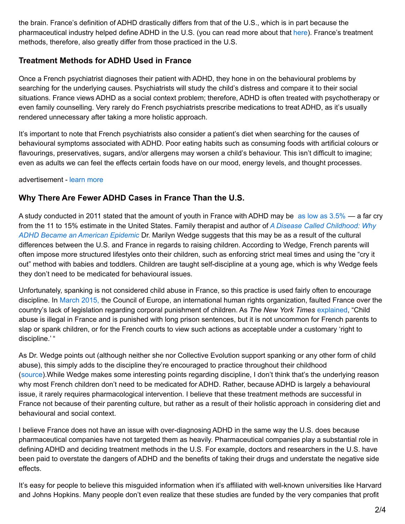the brain. France's definition of ADHD drastically differs from that of the U.S., which is in part because the pharmaceutical industry helped define ADHD in the U.S. (you can read more about that [here](http://www.collective-evolution.com/2016/10/25/a-d-h-d-nation-how-big-pharma-created-the-a-d-h-d-epidemic/)). France's treatment methods, therefore, also greatly differ from those practiced in the U.S.

## **Treatment Methods for ADHD Used in France**

Once a French psychiatrist diagnoses their patient with ADHD, they hone in on the behavioural problems by searching for the underlying causes. Psychiatrists will study the child's distress and compare it to their social situations. France views ADHD as a social context problem; therefore, ADHD is often treated with psychotherapy or even family counselling. Very rarely do French psychiatrists prescribe medications to treat ADHD, as it's usually rendered unnecessary after taking a more holistic approach.

It's important to note that French psychiatrists also consider a patient's diet when searching for the causes of behavioural symptoms associated with ADHD. Poor eating habits such as consuming foods with artificial colours or flavourings, preservatives, sugars, and/or allergens may worsen a child's behaviour. This isn't difficult to imagine; even as adults we can feel the effects certain foods have on our mood, energy levels, and thought processes.

advertisement - [learn](http://www.collective-evolution.com/our-ad-commitment/) more

## **Why There Are Fewer ADHD Cases in France Than the U.S.**

A study conducted in 2011 stated that the amount of youth in France with ADHD may be as low as [3.5%](https://www.ncbi.nlm.nih.gov/pubmed/20679156) — a far cry from the 11 to 15% estimate in the United States. Family therapist and author of *A Disease Called [Childhood:](http://www.amazon.com/Disease-Called-Childhood-American-Epidemic/dp/1583335633/ref=tmm_hrd_title_0?ie=UTF8&qid=1415663776&sr=8-1) Why ADHD Became an American Epidemic* Dr. Marilyn Wedge suggests that this may be as a result of the cultural differences between the U.S. and France in regards to raising children. According to Wedge, French parents will often impose more structured lifestyles onto their children, such as enforcing strict meal times and using the "cry it out" method with babies and toddlers. Children are taught self-discipline at a young age, which is why Wedge feels they don't need to be medicated for behavioural issues.

Unfortunately, spanking is not considered child abuse in France, so this practice is used fairly often to encourage discipline. In [March](http://www.nytimes.com/2015/03/05/world/europe/france-faulted-for-not-banning-corporal-punishment.html?_r=0) 2015, the Council of Europe, an international human rights organization, faulted France over the country's lack of legislation regarding corporal punishment of children. As *The New York Times* [explained](http://www.nytimes.com/2015/03/05/world/europe/france-faulted-for-not-banning-corporal-punishment.html?_r=0), "Child abuse is illegal in France and is punished with long prison sentences, but it is not uncommon for French parents to slap or spank children, or for the French courts to view such actions as acceptable under a customary 'right to discipline.'"

As Dr. Wedge points out (although neither she nor Collective Evolution support spanking or any other form of child abuse), this simply adds to the discipline they're encouraged to practice throughout their childhood [\(source](https://www.psychologytoday.com/blog/suffer-the-children/201203/why-french-kids-dont-have-adhd)).While Wedge makes some interesting points regarding discipline, I don't think that's the underlying reason why most French children don't need to be medicated for ADHD. Rather, because ADHD is largely a behavioural issue, it rarely requires pharmacological intervention. I believe that these treatment methods are successful in France not because of their parenting culture, but rather as a result of their holistic approach in considering diet and behavioural and social context.

I believe France does not have an issue with over-diagnosing ADHD in the same way the U.S. does because pharmaceutical companies have not targeted them as heavily. Pharmaceutical companies play a substantial role in defining ADHD and deciding treatment methods in the U.S. For example, doctors and researchers in the U.S. have been paid to overstate the dangers of ADHD and the benefits of taking their drugs and understate the negative side effects.

It's easy for people to believe this misguided information when it's affiliated with well-known universities like Harvard and Johns Hopkins. Many people don't even realize that these studies are funded by the very companies that profit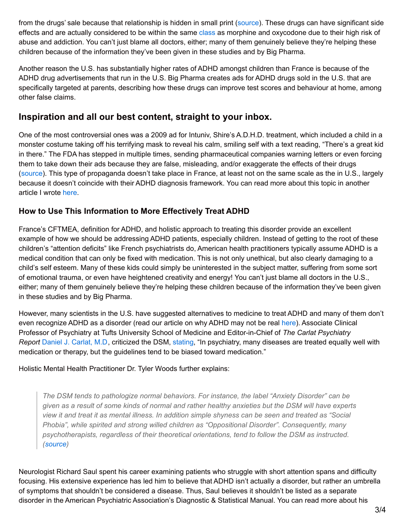from the drugs' sale because that relationship is hidden in small print [\(source](https://www.scientificamerican.com/article/big-pharma-s-manufactured-epidemic-the-misdiagnosis-of-adhd/)). These drugs can have significant side effects and are actually considered to be within the same [class](http://www.nytimes.com/2013/12/15/health/the-selling-of-attention-deficit-disorder.html?pagewanted=all) as morphine and oxycodone due to their high risk of abuse and addiction. You can't just blame all doctors, either; many of them genuinely believe they're helping these children because of the information they've been given in these studies and by Big Pharma.

Another reason the U.S. has substantially higher rates of ADHD amongst children than France is because of the ADHD drug advertisements that run in the U.S. Big Pharma creates ads for ADHD drugs sold in the U.S. that are specifically targeted at parents, describing how these drugs can improve test scores and behaviour at home, among other false claims.

# **Inspiration and all our best content, straight to your inbox.**

One of the most controversial ones was a 2009 ad for Intuniv, Shire's A.D.H.D. treatment, which included a child in a monster costume taking off his terrifying mask to reveal his calm, smiling self with a text reading, "There's a great kid in there." The FDA has stepped in multiple times, sending pharmaceutical companies warning letters or even forcing them to take down their ads because they are false, misleading, and/or exaggerate the effects of their drugs [\(source](http://www.nytimes.com/2013/12/15/health/the-selling-of-attention-deficit-disorder.html?pagewanted=all)). This type of propaganda doesn't take place in France, at least not on the same scale as the in U.S., largely because it doesn't coincide with their ADHD diagnosis framework. You can read more about this topic in another article I wrote [here](http://www.collective-evolution.com/2016/10/25/a-d-h-d-nation-how-big-pharma-created-the-a-d-h-d-epidemic/).

## **How to Use This Information to More Effectively Treat ADHD**

France's CFTMEA, definition for ADHD, and holistic approach to treating this disorder provide an excellent example of how we should be addressing ADHD patients, especially children. Instead of getting to the root of these children's "attention deficits" like French psychiatrists do, American health practitioners typically assume ADHD is a medical condition that can only be fixed with medication. This is not only unethical, but also clearly damaging to a child's self esteem. Many of these kids could simply be uninterested in the subject matter, suffering from some sort of emotional trauma, or even have heightened creativity and energy! You can't just blame all doctors in the U.S., either; many of them genuinely believe they're helping these children because of the information they've been given in these studies and by Big Pharma.

However, many scientists in the U.S. have suggested alternatives to medicine to treat ADHD and many of them don't even recognize ADHD as a disorder (read our article on why ADHD may not be real [here](http://www.collective-evolution.com/2014/11/25/the-creative-gifts-of-adhd-disorder-or-gift-real-or-fictitious/)). Associate Clinical Professor of Psychiatry at Tufts University School of Medicine and Editor-in-Chief of *The Carlat Psychiatry Report* Daniel J. [Carlat,](http://www.danielcarlat.com/dcarlat-bio.htm) M.D, criticized the DSM, [stating](http://www.emaxhealth.com/1357/7/35563/experts-who-write-dsm-have-financial-ties-pharmaceutical-companies.html), "In psychiatry, many diseases are treated equally well with medication or therapy, but the guidelines tend to be biased toward medication."

Holistic Mental Health Practitioner Dr. Tyler Woods further explains:

*The DSM tends to pathologize normal behaviors. For instance, the label "Anxiety Disorder" can be* given as a result of some kinds of normal and rather healthy anxieties but the DSM will have experts view it and treat it as mental illness. In addition simple shyness can be seen and treated as "Social *Phobia", while spirited and strong willed children as "Oppositional Disorder". Consequently, many psychotherapists, regardless of their theoretical orientations, tend to follow the DSM as instructed. ([source](http://www.emaxhealth.com/1357/7/35563/experts-who-write-dsm-have-financial-ties-pharmaceutical-companies.html))*

Neurologist Richard Saul spent his career examining patients who struggle with short attention spans and difficulty focusing. His extensive experience has led him to believe that ADHD isn't actually a disorder, but rather an umbrella of symptoms that shouldn't be considered a disease. Thus, Saul believes it shouldn't be listed as a separate disorder in the American Psychiatric Association's Diagnostic & Statistical Manual. You can read more about his